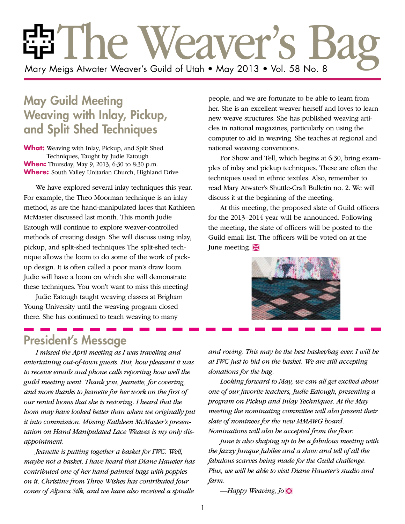# En The Weaver's Mary Meigs Atwater Weaver's Guild of Utah • May 2013 • Vol. 58 No. 8

# May Guild Meeting Weaving with Inlay, Pickup, and Split Shed Techniques

**What:** Weaving with Inlay, Pickup, and Split Shed Techniques, Taught by Judie Eatough **When:** Thursday, May 9, 2013, 6:30 to 8:30 p.m. **Where:** South Valley Unitarian Church, Highland Drive

We have explored several inlay techniques this year. For example, the Theo Moorman technique is an inlay method, as are the hand-manipulated laces that Kathleen McMaster discussed last month. This month Judie Eatough will continue to explore weaver-controlled methods of creating design. She will discuss using inlay, pickup, and split-shed techniques The split-shed technique allows the loom to do some of the work of pickup design. It is often called a poor man's draw loom. Judie will have a loom on which she will demonstrate these techniques. You won't want to miss this meeting!

Judie Eatough taught weaving classes at Brigham Young University until the weaving program closed there. She has continued to teach weaving to many

people, and we are fortunate to be able to learn from her. She is an excellent weaver herself and loves to learn new weave structures. She has published weaving articles in national magazines, particularly on using the computer to aid in weaving. She teaches at regional and national weaving conventions.

For Show and Tell, which begins at 6:30, bring examples of inlay and pickup techniques. These are often the techniques used in ethnic textiles. Also, remember to read Mary Atwater's Shuttle-Craft Bulletin no. 2. We will discuss it at the beginning of the meeting.

At this meeting, the proposed slate of Guild officers for the 2013–2014 year will be announced. Following the meeting, the slate of officers will be posted to the Guild email list. The officers will be voted on at the June meeting.



## President's Message

*I missed the April meeting as I was traveling and entertaining out-of-town guests. But, how pleasant it was to receive emails and phone calls reporting how well the guild meeting went. Thank you, Jeanette, for covering, and more thanks to Jeanette for her work on the first of our rental looms that she is restoring. I heard that the loom may have looked better than when we originally put it into commission. Missing Kathleen McMaster's presentation on Hand Manipulated Lace Weaves is my only disappointment.*

*Jeanette is putting together a basket for IWC. Well, maybe not a basket. I have heard that Diane Haueter has contributed one of her hand-painted bags with poppies on it. Christine from Three Wishes has contributed four cones of Alpaca Silk, and we have also received a spindle* 

*and roving. This may be the best basket/bag ever. I will be at IWC just to bid on the basket. We are still accepting donations for the bag.*

*Looking forward to May, we can all get excited about one of our favorite teachers, Judie Eatough, presenting a program on Pickup and Inlay Techniques. At the May meeting the nominating committee will also present their slate of nominees for the new MMAWG board. Nominations will also be accepted from the floor.*

*June is also shaping up to be a fabulous meeting with the Jazzy Junque Jubilee and a show and tell of all the fabulous scarves being made for the Guild challenge. Plus, we will be able to visit Diane Haueter's studio and farm.*

*—Happy Weaving, Jo* Ì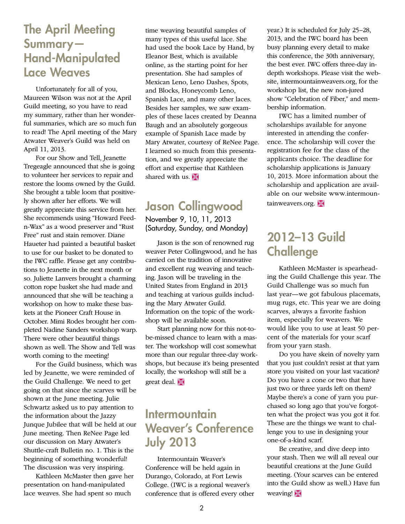## The April Meeting Summary— Hand-Manipulated Lace Weaves

Unfortunately for all of you, Maureen Wilson was not at the April Guild meeting, so you have to read my summary, rather than her wonderful summaries, which are so much fun to read! The April meeting of the Mary Atwater Weaver's Guild was held on April 11, 2013.

For our Show and Tell, Jeanette Tregeagle announced that she is going to volunteer her services to repair and restore the looms owned by the Guild. She brought a table loom that positively shown after her efforts. We will greatly appreciate this service from her. She recommends using "Howard Feedn-Wax" as a wood preserver and "Rust Free" rust and stain remover. Diane Haueter had painted a beautiful basket to use for our basket to be donated to the IWC raffle. Please get any contributions to Jeanette in the next month or so. Juliette Lanvers brought a charming cotton rope basket she had made and announced that she will be teaching a workshop on how to make these baskets at the Pioneer Craft House in October. Mimi Rodes brought her completed Nadine Sanders workshop warp. There were other beautiful things shown as well. The Show and Tell was worth coming to the meeting!

For the Guild business, which was led by Jeanette, we were reminded of the Guild Challenge. We need to get going on that since the scarves will be shown at the June meeting. Julie Schwartz asked us to pay attention to the information about the Jazzy Junque Jubilee that will be held at our June meeting. Then ReNee Page led our discussion on Mary Atwater's Shuttle-craft Bulletin no. 1. This is the beginning of something wonderful! The discussion was very inspiring.

Kathleen McMaster then gave her presentation on hand-manipulated lace weaves. She had spent so much

time weaving beautiful samples of many types of this useful lace. She had used the book Lace by Hand, by Eleanor Best, which is available online, as the starting point for her presentation. She had samples of Mexican Leno, Leno Dashes, Spots, and Blocks, Honeycomb Leno, Spanish Lace, and many other laces. Besides her samples, we saw examples of these laces created by Deanna Baugh and an absolutely gorgeous example of Spanish Lace made by Mary Atwater, courtesy of ReNee Page. I learned so much from this presentation, and we greatly appreciate the effort and expertise that Kathleen shared with us.  $\mathbb{X}$ 

#### Jason Collingwood November 9, 10, 11, 2013 (Saturday, Sunday, and Monday)

Jason is the son of renowned rug weaver Peter Collingwood, and he has carried on the tradition of innovative and excellent rug weaving and teaching. Jason will be traveling in the United States from England in 2013 and teaching at various guilds including the Mary Atwater Guild. Information on the topic of the workshop will be available soon.

Start planning now for this not-tobe-missed chance to learn with a master. The workshop will cost somewhat more than our regular three-day workshops, but because it's being presented locally, the workshop will still be a great deal.

# **Intermountain** Weaver's Conference July 2013

Intermountain Weaver's Conference will be held again in Durango, Colorado, at Fort Lewis College. (IWC is a regional weaver's conference that is offered every other year.) It is scheduled for July 25–28, 2013, and the IWC board has been busy planning every detail to make this conference, the 30th anniversary, the best ever. IWC offers three-day indepth workshops. Please visit the website, intermountainweavers.org, for the workshop list, the new non-jured show "Celebration of Fiber," and membership information.

IWC has a limited number of scholarships available for anyone interested in attending the conference. The scholarship will cover the registration fee for the class of the applicants choice. The deadline for scholarship applications is January 10, 2013. More information about the scholarship and application are available on our website www.intermountainweavers.org.  $\mathbb{R}$ 

# 2012–13 Guild **Challenge**

Kathleen McMaster is spearheading the Guild Challenge this year. The Guild Challenge was so much fun last year—we got fabulous placemats, mug rugs, etc. This year we are doing scarves, always a favorite fashion item, especially for weavers. We would like you to use at least 50 percent of the materials for your scarf from your yarn stash.

Do you have skein of novelty yarn that you just couldn't resist at that yarn store you visited on your last vacation? Do you have a cone or two that have just two or three yards left on them? Maybe there's a cone of yarn you purchased so long ago that you've forgotten what the project was you got it for. These are the things we want to challenge you to use in designing your one-of-a-kind scarf.

Be creative, and dive deep into your stash. Then we will all reveal our beautiful creations at the June Guild meeting. (Your scarves can be entered into the Guild show as well.) Have fun weaving! $\mathbb{R}$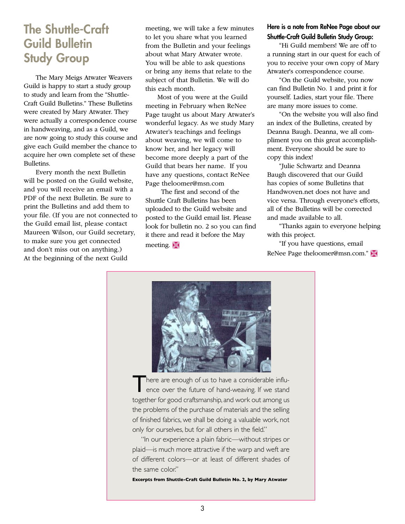# **The Shuttle-Craft** Guild Bulletin Study Group

The Mary Meigs Atwater Weavers Guild is happy to start a study group to study and learn from the "Shuttle-Craft Guild Bulletins." These Bulletins were created by Mary Atwater. They were actually a correspondence course in handweaving, and as a Guild, we are now going to study this course and give each Guild member the chance to acquire her own complete set of these Bulletins.

Every month the next Bulletin will be posted on the Guild website, and you will receive an email with a PDF of the next Bulletin. Be sure to print the Bulletins and add them to your file. (If you are not connected to the Guild email list, please contact Maureen Wilson, our Guild secretary, to make sure you get connected and don't miss out on anything.) At the beginning of the next Guild

meeting, we will take a few minutes to let you share what you learned from the Bulletin and your feelings about what Mary Atwater wrote. You will be able to ask questions or bring any items that relate to the subject of that Bulletin. We will do this each month.

Most of you were at the Guild meeting in February when ReNee Page taught us about Mary Atwater's wonderful legacy. As we study Mary Atwater's teachings and feelings about weaving, we will come to know her, and her legacy will become more deeply a part of the Guild that bears her name. If you have any questions, contact ReNee Page theloomer@msn.com

 The first and second of the Shuttle Craft Bulletins has been uploaded to the Guild website and posted to the Guild email list. Please look for bulletin no. 2 so you can find it there and read it before the May meeting.  $\mathbb{R}$ 

#### Here is a note from ReNee Page about our Shuttle-Craft Guild Bulletin Study Group:

"Hi Guild members! We are off to a running start in our quest for each of you to receive your own copy of Mary Atwater's correspondence course.

"On the Guild website, you now can find Bulletin No. 1 and print it for yourself. Ladies, start your file. There are many more issues to come.

"On the website you will also find an index of the Bulletins, created by Deanna Baugh. Deanna, we all compliment you on this great accomplishment. Everyone should be sure to copy this index!

"Julie Schwartz and Deanna Baugh discovered that our Guild has copies of some Bulletins that Handwoven.net does not have and vice versa. Through everyone's efforts, all of the Bulletins will be corrected and made available to all.

"Thanks again to everyone helping with this project.

"If you have questions, email ReNee Page theloomer@msn.com."



There are enough of us to have a considerable influ-<br>ence over the future of hand-weaving. If we stand ence over the future of hand-weaving. If we stand together for good craftsmanship, and work out among us the problems of the purchase of materials and the selling of finished fabrics, we shall be doing a valuable work, not only for ourselves, but for all others in the field."

"In our experience a plain fabric—without stripes or plaid—is much more attractive if the warp and weft are of different colors—or at least of different shades of the same color."

**Excerpts from Shuttle-Craft Guild Bulletin No. 2, by Mary Atwater**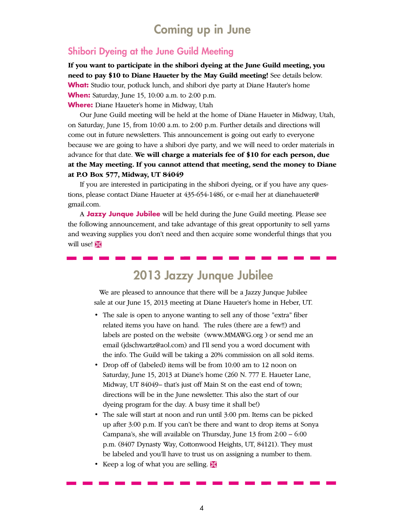### Coming up in June

#### Shibori Dyeing at the June Guild Meeting

**If you want to participate in the shibori dyeing at the June Guild meeting, you need to pay \$10 to Diane Haueter by the May Guild meeting!** See details below. **What:** Studio tour, potluck lunch, and shibori dye party at Diane Hauter's home **When:** Saturday, June 15, 10:00 a.m. to 2:00 p.m. **Where:** Diane Haueter's home in Midway, Utah

Our June Guild meeting will be held at the home of Diane Haueter in Midway, Utah, on Saturday, June 15, from 10:00 a.m. to 2:00 p.m. Further details and directions will come out in future newsletters. This announcement is going out early to everyone because we are going to have a shibori dye party, and we will need to order materials in advance for that date. **We will charge a materials fee of \$10 for each person, due at the May meeting. If you cannot attend that meeting, send the money to Diane at P.O Box 577, Midway, UT 84049**

If you are interested in participating in the shibori dyeing, or if you have any questions, please contact Diane Haueter at 435-654-1486, or e-mail her at dianehaueter@ gmail.com.

A **Jazzy Junque Jubilee** will be held during the June Guild meeting. Please see the following announcement, and take advantage of this great opportunity to sell yarns and weaving supplies you don't need and then acquire some wonderful things that you will use!

# 2013 Jazzy Junque Jubilee

We are pleased to announce that there will be a Jazzy Junque Jubilee sale at our June 15, 2013 meeting at Diane Haueter's home in Heber, UT.

- The sale is open to anyone wanting to sell any of those "extra" fiber related items you have on hand. The rules (there are a few!!) and labels are posted on the website (www.MMAWG.org ) or send me an email (jdschwartz@aol.com) and I'll send you a word document with the info. The Guild will be taking a 20% commission on all sold items.
- Drop off of (labeled) items will be from 10:00 am to 12 noon on Saturday, June 15, 2013 at Diane's home (260 N. 777 E. Haueter Lane, Midway, UT 84049– that's just off Main St on the east end of town; directions will be in the June newsletter. This also the start of our dyeing program for the day. A busy time it shall be!)
- The sale will start at noon and run until 3:00 pm. Items can be picked up after 3:00 p.m. If you can't be there and want to drop items at Sonya Campana's, she will available on Thursday, June 13 from 2:00 – 6:00 p.m. (8407 Dynasty Way, Cottonwood Heights, UT, 84121). They must be labeled and you'll have to trust us on assigning a number to them.
- Keep a log of what you are selling.  $\mathbb{X}$